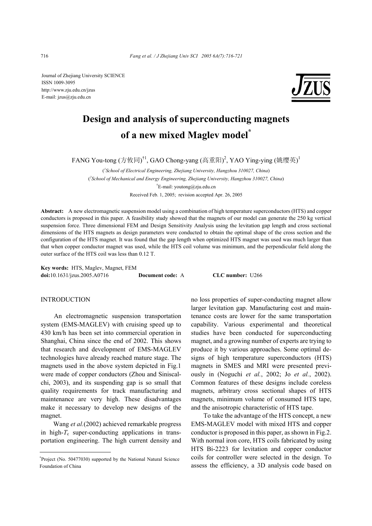Journal of Zhejiang University SCIENCE ISSN 1009-3095 http://www.zju.edu.cn/jzus E-mail: jzus@zju.edu.cn



# **Design and analysis of superconducting magnets of a new mixed Maglev model\***

FANG You-tong (方攸同)<sup>†1</sup>, GAO Chong-yang (高重阳)<sup>2</sup>, YAO Ying-ying (姚缨英)<sup>1</sup>

( *1 School of Electrical Engineering, Zhejiang University, Hangzhou 310027, China*) ( *2 School of Mechanical and Energy Engineering, Zhejiang University, Hangzhou 310027, China*) † E-mail: youtong@zju.edu.cn Received Feb. 1, 2005; revision accepted Apr. 26, 2005

**Abstract:** A new electromagnetic suspension model using a combination of high temperature superconductors (HTS) and copper conductors is proposed in this paper. A feasibility study showed that the magnets of our model can generate the 250 kg vertical suspension force. Three dimensional FEM and Design Sensitivity Analysis using the levitation gap length and cross sectional dimensions of the HTS magnets as design parameters were conducted to obtain the optimal shape of the cross section and the configuration of the HTS magnet. It was found that the gap length when optimized HTS magnet was used was much larger than that when copper conductor magnet was used, while the HTS coil volume was minimum, and the perpendicular field along the outer surface of the HTS coil was less than 0.12 T.

**Key words:** HTS, Maglev, Magnet, FEM **doi:**10.1631/jzus.2005.A0716 **Document code:** A **CLC number:** U266

## INTRODUCTION

An electromagnetic suspension transportation system (EMS-MAGLEV) with cruising speed up to 430 km/h has been set into commercial operation in Shanghai, China since the end of 2002. This shows that research and development of EMS-MAGLEV technologies have already reached mature stage. The magnets used in the above system depicted in Fig.1 were made of copper conductors (Zhou and Siniscalchi, 2003), and its suspending gap is so small that quality requirements for track manufacturing and maintenance are very high. These disadvantages make it necessary to develop new designs of the magnet.

Wang *et al.*(2002) achieved remarkable progress in high- $T_c$  super-conducting applications in transportation engineering. The high current density and no loss properties of super-conducting magnet allow larger levitation gap. Manufacturing cost and maintenance costs are lower for the same transportation capability. Various experimental and theoretical studies have been conducted for superconducting magnet, and a growing number of experts are trying to produce it by various approaches. Some optimal designs of high temperature superconductors (HTS) magnets in SMES and MRI were presented previously in (Noguchi *et al.*, 2002; Jo *et al.*, 2002). Common features of these designs include coreless magnets, arbitrary cross sectional shapes of HTS magnets, minimum volume of consumed HTS tape, and the anisotropic characteristic of HTS tape.

To take the advantage of the HTS concept, a new EMS-MAGLEV model with mixed HTS and copper conductor is proposed in this paper, as shown in Fig.2. With normal iron core, HTS coils fabricated by using HTS Bi-2223 for levitation and copper conductor coils for controller were selected in the design. To assess the efficiency, a 3D analysis code based on

<sup>\*</sup> Project (No. 50477030) supported by the National Natural Science Foundation of China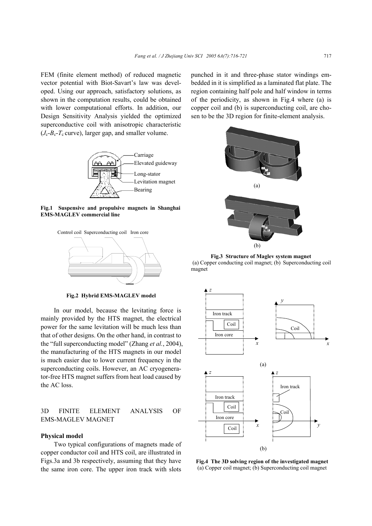FEM (finite element method) of reduced magnetic vector potential with Biot-Savart's law was developed. Using our approach, satisfactory solutions, as shown in the computation results, could be obtained with lower computational efforts. In addition, our Design Sensitivity Analysis yielded the optimized superconductive coil with anisotropic characteristic  $(J_c - B_c - T_c$  curve), larger gap, and smaller volume.



**Fig.1 Suspensive and propulsive magnets in Shanghai EMS-MAGLEV commercial line**



**Fig.2 Hybrid EMS-MAGLEV model** 

In our model, because the levitating force is mainly provided by the HTS magnet, the electrical power for the same levitation will be much less than that of other designs. On the other hand, in contrast to the "full superconducting model" (Zhang *et al.*, 2004), the manufacturing of the HTS magnets in our model is much easier due to lower current frequency in the superconducting coils. However, an AC cryogenerator-free HTS magnet suffers from heat load caused by the AC loss.

## 3D FINITE ELEMENT ANALYSIS OF EMS-MAGLEV MAGNET

#### **Physical model**

Two typical configurations of magnets made of copper conductor coil and HTS coil, are illustrated in Figs.3a and 3b respectively, assuming that they have the same iron core. The upper iron track with slots

punched in it and three-phase stator windings embedded in it is simplified as a laminated flat plate. The region containing half pole and half window in terms of the periodicity, as shown in Fig.4 where (a) is copper coil and (b) is superconducting coil, are chosen to be the 3D region for finite-element analysis.



**Fig.3 Structure of Maglev system magnet**  (a) Copper conducting coil magnet; (b) Superconducting coil magnet



**Fig.4 The 3D solving region of the investigated magnet** (a) Copper coil magnet; (b) Superconducting coil magnet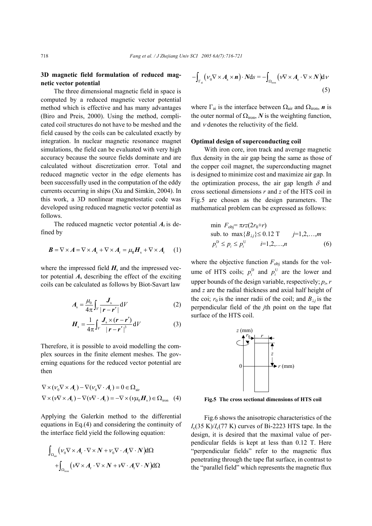## **3D magnetic field formulation of reduced magnetic vector potential**

The three dimensional magnetic field in space is computed by a reduced magnetic vector potential method which is effective and has many advantages (Biro and Preis, 2000). Using the method, complicated coil structures do not have to be meshed and the field caused by the coils can be calculated exactly by integration. In nuclear magnetic resonance magnet simulations, the field can be evaluated with very high accuracy because the source fields dominate and are calculated without discretization error. Total and reduced magnetic vector in the edge elements has been successfully used in the computation of the eddy currents occurring in ships (Xu and Simkin, 2004). In this work, a 3D nonlinear magnetostatic code was developed using reduced magnetic vector potential as follows.

The reduced magnetic vector potential  $A_r$  is defined by

$$
\boldsymbol{B} = \nabla \times \boldsymbol{A} = \nabla \times \boldsymbol{A}_{\rm s} + \nabla \times \boldsymbol{A}_{\rm r} = \mu_0 \boldsymbol{H}_{\rm s} + \nabla \times \boldsymbol{A}_{\rm r} \qquad (1)
$$

where the impressed field  $H_s$  and the impressed vector potential  $A_s$  describing the effect of the exciting coils can be calculated as follows by Biot-Savart law

$$
A_{\rm s} = \frac{\mu_0}{4\pi} \int_V \frac{J_{\rm s}}{|\boldsymbol{r} - \boldsymbol{r}'|} \mathrm{d}V \tag{2}
$$

$$
H_s = \frac{1}{4\pi} \int_V \frac{J_s \times (r - r')}{|r - r'|^3} \mathrm{d}V \tag{3}
$$

Therefore, it is possible to avoid modelling the complex sources in the finite element meshes. The governing equations for the reduced vector potential are then

$$
\nabla \times (\nu_0 \nabla \times A_r) - \nabla (\nu_0 \nabla \cdot A_r) = 0 \in \Omega_{\text{air}}
$$
  
 
$$
\nabla \times (\nu \nabla \times A_r) - \nabla (\nu \nabla \cdot A_r) = -\nabla \times (\nu \mu_0 H_s) \in \Omega_{\text{iron}} \quad (4)
$$

Applying the Galerkin method to the differential equations in Eq.(4) and considering the continuity of the interface field yield the following equation:

$$
\int_{\Omega_{\text{air}}} \left( V_0 \nabla \times A_r \cdot \nabla \times N + V_0 \nabla \cdot A_r \nabla \cdot N \right) d\Omega
$$
  
+ 
$$
\int_{\Omega_{\text{iron}}} \left( V \nabla \times A_r \cdot \nabla \times N + V \nabla \cdot A_r \nabla \cdot N \right) d\Omega
$$

$$
-\int_{\Gamma_{\rm ai}} (\nu_0 \nabla \times A_{\rm s} \times \boldsymbol{n}) \cdot N \mathrm{d}s = -\int_{\Omega_{\rm iron}} (\nu \nabla \times A_{\rm s} \cdot \nabla \times N) \mathrm{d}\nu
$$
\n(5)

where  $\Gamma_{ai}$  is the interface between  $\Omega_{air}$  and  $\Omega_{iron}$ , *n* is the outer normal of  $\Omega$ <sub>iron</sub>, *N* is the weighting function, and  $\nu$  denotes the reluctivity of the field.

#### **Optimal design of superconducting coil**

With iron core, iron track and average magnetic flux density in the air gap being the same as those of the copper coil magnet, the superconducting magnet is designed to minimize cost and maximize air gap. In the optimization process, the air gap length  $\delta$  and cross sectional dimensions *r* and *z* of the HTS coil in Fig.5 are chosen as the design parameters. The mathematical problem can be expressed as follows:

min 
$$
F_{\text{obj}} = \pi r z (2r_0 + r)
$$
  
\nsub. to max  $\{B_{\perp j}\} \le 0.12 \text{ T}$   $j=1,2,...,m$   
\n $p_i^{\text{D}} \le p_i \le p_i^{\text{U}}$   $i=1,2,...,n$  (6)

where the objective function  $F_{obj}$  stands for the volume of HTS coils;  $p_i^D$  and  $p_i^U$  are the lower and upper bounds of the design variable, respectively;  $p_i$ ,  $r_i$ and *z* are the radial thickness and axial half height of the coi;  $r_0$  is the inner radii of the coil; and  $B_{\perp i}$  is the perpendicular field of the *j*th point on the tape flat surface of the HTS coil.



 **Fig.5 The cross sectional dimensions of HTS coil**

Fig.6 shows the anisotropic characteristics of the  $I_c(35 \text{ K})/I_c(77 \text{ K})$  curves of Bi-2223 HTS tape. In the design, it is desired that the maximal value of perpendicular fields is kept at less than 0.12 T. Here "perpendicular fields" refer to the magnetic flux penetrating through the tape flat surface, in contrast to the "parallel field" which represents the magnetic flux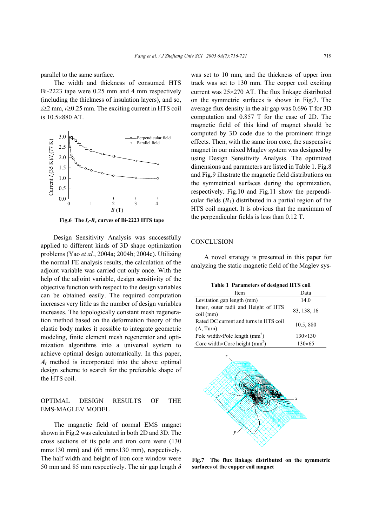parallel to the same surface.

The width and thickness of consumed HTS Bi-2223 tape were 0.25 mm and 4 mm respectively (including the thickness of insulation layers), and so, *z*≥2 mm, *r*≥0.25 mm. The exciting current in HTS coil is 10.5×880 AT.



**Fig.6** The  $I_c$ - $B_c$  curves of Bi-2223 HTS tape

Design Sensitivity Analysis was successfully applied to different kinds of 3D shape optimization problems (Yao *et al.*, 2004a; 2004b; 2004c). Utilizing the normal FE analysis results, the calculation of the adioint variable was carried out only once. With the help of the adjoint variable, design sensitivity of the objective function with respect to the design variables can be obtained easily. The required computation increases very little as the number of design variables increases. The topologically constant mesh regeneration method based on the deformation theory of the elastic body makes it possible to integrate geometric modeling, finite element mesh regenerator and optimization algorithms into a universal system to achieve optimal design automatically. In this paper, *A*r method is incorporated into the above optimal design scheme to search for the preferable shape of the HTS coil.

#### OPTIMAL DESIGN RESULTS OF THE EMS-MAGLEV MODEL

The magnetic field of normal EMS magnet shown in Fig.2 was calculated in both 2D and 3D. The cross sections of its pole and iron core were (130  $mm \times 130$  mm) and (65 mm $\times 130$  mm), respectively. The half width and height of iron core window were 50 mm and 85 mm respectively. The air gap length *δ* was set to 10 mm, and the thickness of upper iron track was set to 130 mm. The copper coil exciting current was 25×270 AT. The flux linkage distributed on the symmetric surfaces is shown in Fig.7. The average flux density in the air gap was 0.696 T for 3D computation and 0.857 T for the case of 2D. The magnetic field of this kind of magnet should be computed by 3D code due to the prominent fringe effects. Then, with the same iron core, the suspensive magnet in our mixed Maglev system was designed by using Design Sensitivity Analysis. The optimized dimensions and parameters are listed in Table 1. Fig.8 and Fig.9 illustrate the magnetic field distributions on the symmetrical surfaces during the optimization, respectively. Fig.10 and Fig.11 show the perpendicular fields  $(B_1)$  distributed in a partial region of the HTS coil magnet. It is obvious that the maximum of the perpendicular fields is less than 0.12 T.

#### **CONCLUSION**

A novel strategy is presented in this paper for analyzing the static magnetic field of the Maglev sys-

| <b>Table 1 Parameters of designed HTS coil</b>      |                |
|-----------------------------------------------------|----------------|
| Item                                                | Data           |
| Levitation gap length (mm)                          | 14.0           |
| Inner, outer radii and Height of HTS<br>coil (mm)   | 83, 138, 16    |
| Rated DC current and turns in HTS coil<br>(A, Turn) | 10.5,880       |
| Pole width×Pole length $(mm2)$                      | $130\times130$ |
| Core width×Core height $(mm^2)$                     | 130×65         |



**Fig.7 The flux linkage distributed on the symmetric surfaces of the copper coil magnet**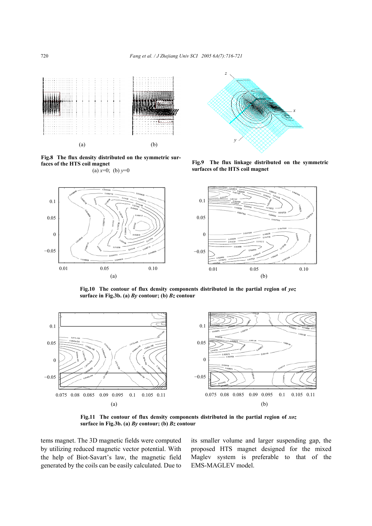

**Fig.8 The flux density distributed on the symmetric surfaces of the HTS coil magnet**  (a)  $x=0$ ; (b)  $y=0$ 



**Fig.9 The flux linkage distributed on the symmetric surfaces of the HTS coil magnet** 



Fig.10 The contour of flux density components distributed in the partial region of  $\gamma \sigma z$ **surface in Fig.3b. (a)** *By* **contour; (b)** *Bz* **contour** 



Fig.11 The contour of flux density components distributed in the partial region of  $xoz$ **surface in Fig.3b. (a)** *By* **contour; (b)** *Bz* **contour** 

tems magnet. The 3D magnetic fields were computed by utilizing reduced magnetic vector potential. With the help of Biot-Savart's law, the magnetic field generated by the coils can be easily calculated. Due to

its smaller volume and larger suspending gap, the proposed HTS magnet designed for the mixed Maglev system is preferable to that of the EMS-MAGLEV model.